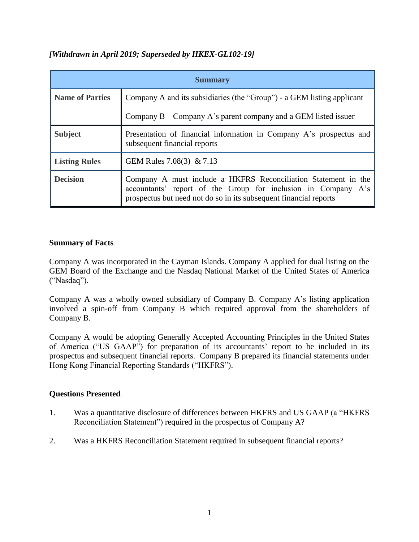# *[Withdrawn in April 2019; Superseded by HKEX-GL102-19]*

| <b>Summary</b>         |                                                                                                                                                                                                      |
|------------------------|------------------------------------------------------------------------------------------------------------------------------------------------------------------------------------------------------|
| <b>Name of Parties</b> | Company A and its subsidiaries (the "Group") - a GEM listing applicant                                                                                                                               |
|                        | Company $B -$ Company A's parent company and a GEM listed issuer                                                                                                                                     |
| <b>Subject</b>         | Presentation of financial information in Company A's prospectus and<br>subsequent financial reports                                                                                                  |
| <b>Listing Rules</b>   | GEM Rules 7.08(3) & 7.13                                                                                                                                                                             |
| <b>Decision</b>        | Company A must include a HKFRS Reconciliation Statement in the<br>accountants' report of the Group for inclusion in Company A's<br>prospectus but need not do so in its subsequent financial reports |

## **Summary of Facts**

Company A was incorporated in the Cayman Islands. Company A applied for dual listing on the GEM Board of the Exchange and the Nasdaq National Market of the United States of America ("Nasdaq").

Company A was a wholly owned subsidiary of Company B. Company A's listing application involved a spin-off from Company B which required approval from the shareholders of Company B.

Company A would be adopting Generally Accepted Accounting Principles in the United States of America ("US GAAP") for preparation of its accountants' report to be included in its prospectus and subsequent financial reports. Company B prepared its financial statements under Hong Kong Financial Reporting Standards ("HKFRS").

# **Questions Presented**

- 1. Was a quantitative disclosure of differences between HKFRS and US GAAP (a "HKFRS Reconciliation Statement") required in the prospectus of Company A?
- 2. Was a HKFRS Reconciliation Statement required in subsequent financial reports?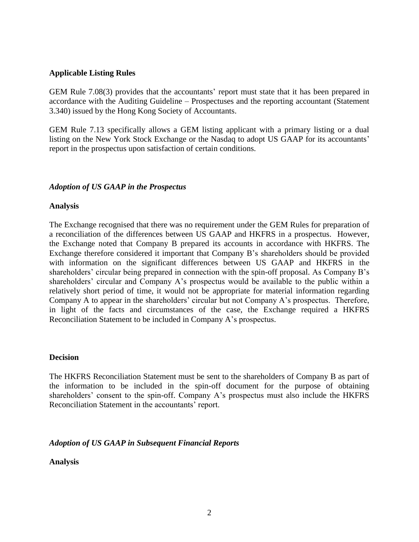#### **Applicable Listing Rules**

GEM Rule 7.08(3) provides that the accountants' report must state that it has been prepared in accordance with the Auditing Guideline – Prospectuses and the reporting accountant (Statement 3.340) issued by the Hong Kong Society of Accountants.

GEM Rule 7.13 specifically allows a GEM listing applicant with a primary listing or a dual listing on the New York Stock Exchange or the Nasdaq to adopt US GAAP for its accountants' report in the prospectus upon satisfaction of certain conditions.

#### *Adoption of US GAAP in the Prospectus*

#### **Analysis**

The Exchange recognised that there was no requirement under the GEM Rules for preparation of a reconciliation of the differences between US GAAP and HKFRS in a prospectus. However, the Exchange noted that Company B prepared its accounts in accordance with HKFRS. The Exchange therefore considered it important that Company B's shareholders should be provided with information on the significant differences between US GAAP and HKFRS in the shareholders' circular being prepared in connection with the spin-off proposal. As Company B's shareholders' circular and Company A's prospectus would be available to the public within a relatively short period of time, it would not be appropriate for material information regarding Company A to appear in the shareholders' circular but not Company A's prospectus. Therefore, in light of the facts and circumstances of the case, the Exchange required a HKFRS Reconciliation Statement to be included in Company A's prospectus.

#### **Decision**

The HKFRS Reconciliation Statement must be sent to the shareholders of Company B as part of the information to be included in the spin-off document for the purpose of obtaining shareholders' consent to the spin-off. Company A's prospectus must also include the HKFRS Reconciliation Statement in the accountants' report.

#### *Adoption of US GAAP in Subsequent Financial Reports*

**Analysis**